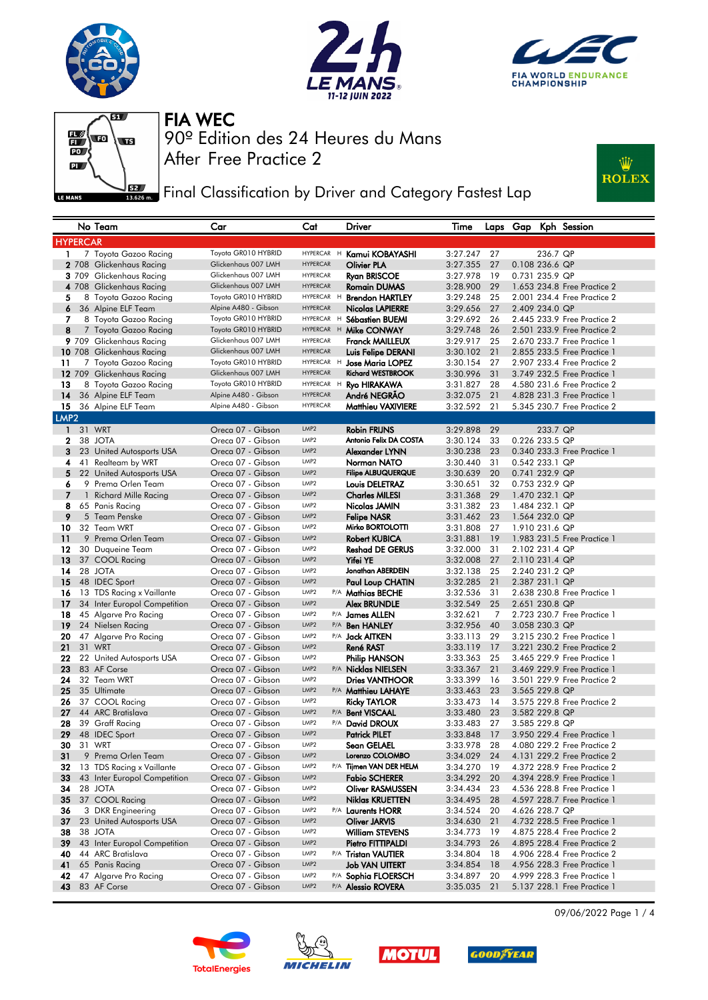







**Fig. 3** Final Classification by Driver and Category Fastest Lap



|                  |    | No Team                              | Car                                    | Cat                      | Driver                                    | Time                 |          |                                  |                | Laps Gap Kph Session                                       |
|------------------|----|--------------------------------------|----------------------------------------|--------------------------|-------------------------------------------|----------------------|----------|----------------------------------|----------------|------------------------------------------------------------|
| <b>HYPERCAR</b>  |    |                                      |                                        |                          |                                           |                      |          |                                  |                |                                                            |
| 1                |    | 7 Toyota Gazoo Racing                | Toyota GR010 HYBRID                    | HYPERCAR H               | Kamui KOBAYASHI                           | 3:27.247             | 27       |                                  | 236.7 QP       |                                                            |
|                  |    | 2 708 Glickenhaus Racing             | Glickenhaus 007 LMH                    | <b>HYPERCAR</b>          | <b>Olivier PLA</b>                        | 3:27.355             | 27       | 0.108 236.6 QP                   |                |                                                            |
|                  |    | 3 709 Glickenhaus Racing             | Glickenhaus 007 LMH                    | HYPERCAR                 | <b>Ryan BRISCOE</b>                       | 3:27.978             | -19      | 0.731 235.9 QP                   |                |                                                            |
|                  |    | 4 708 Glickenhaus Racing             | Glickenhaus 007 LMH                    | <b>HYPERCAR</b>          | <b>Romain DUMAS</b>                       | 3:28.900             | 29       |                                  |                | 1.653 234.8 Free Practice 2                                |
| 5                |    | 8 Toyota Gazoo Racing                | Toyota GR010 HYBRID                    | HYPERCAR H               | <b>Brendon HARTLEY</b>                    | 3:29.248             | 25       |                                  |                | 2.001 234.4 Free Practice 2                                |
| 6                |    | 36 Alpine ELF Team                   | Alpine A480 - Gibson                   | <b>HYPERCAR</b>          | Nicolas LAPIERRE                          | 3:29.656             | 27       | 2.409 234.0 QP                   |                |                                                            |
| 7                |    | 8 Toyota Gazoo Racing                | Toyota GR010 HYBRID                    | HYPERCAR H               | Sébastien BUEMI                           | 3:29.692             | 26       |                                  |                | 2.445 233.9 Free Practice 2                                |
| 8                |    | 7 Toyota Gazoo Racing                | Toyota GR010 HYBRID                    | HYPERCAR H               | Mike CONWAY                               | 3:29.748             | 26       |                                  |                | 2.501 233.9 Free Practice 2                                |
|                  |    | 9 709 Glickenhaus Racing             | Glickenhaus 007 LMH                    | <b>HYPERCAR</b>          | <b>Franck MAILLEUX</b>                    | 3:29.917             | 25       |                                  |                | 2.670 233.7 Free Practice 1                                |
|                  |    | 10 708 Glickenhaus Racing            | Glickenhaus 007 LMH                    | <b>HYPERCAR</b>          | Luis Felipe DERANI                        | 3:30.102             | 21       |                                  |                | 2.855 233.5 Free Practice 1                                |
| 11               |    | 7 Toyota Gazoo Racing                | Toyota GR010 HYBRID                    | HYPERCAR H               | <b>Jose Maria LOPEZ</b>                   | 3:30.154             | 27       |                                  |                | 2.907 233.4 Free Practice 2                                |
|                  |    | 12 709 Glickenhaus Racing            | Glickenhaus 007 LMH                    | <b>HYPERCAR</b>          | <b>Richard WESTBROOK</b>                  | 3:30.996             | 31       |                                  |                | 3.749 232.5 Free Practice 1                                |
| 13               |    | 8 Toyota Gazoo Racing                | Toyota GR010 HYBRID                    | HYPERCAR H               | Ryo HIRAKAWA                              | 3:31.827             | 28       |                                  |                | 4,580 231.6 Free Practice 2                                |
| 14               |    | 36 Alpine ELF Team                   | Alpine A480 - Gibson                   | <b>HYPERCAR</b>          | André NEGRAO                              | 3:32.075             | 21       |                                  |                | 4.828 231.3 Free Practice 1                                |
| 15               |    | 36 Alpine ELF Team                   | Alpine A480 - Gibson                   | <b>HYPERCAR</b>          | <b>Matthieu VAXIVIERE</b>                 | 3:32.592             | 21       |                                  |                | 5.345 230.7 Free Practice 2                                |
| LMP <sub>2</sub> |    |                                      |                                        |                          |                                           |                      |          |                                  |                |                                                            |
| $\mathbf{1}$     |    | 31 WRT                               | Oreca 07 - Gibson                      | LMP <sub>2</sub>         | <b>Robin FRIJNS</b>                       | 3:29.898             | 29       |                                  | 233.7 QP       |                                                            |
| $\mathbf{2}$     |    | 38 JOTA                              | Oreca 07 - Gibson                      | LMP <sub>2</sub>         | Antonio Felix DA COSTA                    | 3:30.124             | 33       |                                  | 0.226 233.5 QP |                                                            |
| 3                |    | 23 United Autosports USA             | Oreca 07 - Gibson                      | LMP2                     | Alexander LYNN                            | 3:30.238             | 23       |                                  |                | 0.340 233.3 Free Practice 1                                |
| 4                |    | 41 Realteam by WRT                   | Oreca 07 - Gibson                      | LMP <sub>2</sub>         | Norman NATO                               | 3:30.440             | 31       | 0.542 233.1 QP                   |                |                                                            |
| 5                |    | 22 United Autosports USA             | Oreca 07 - Gibson                      | LMP <sub>2</sub>         | <b>Filipe ALBUQUERQUE</b>                 | 3:30.639             | 20       | 0.741 232.9 QP                   |                |                                                            |
| 6                |    | 9 Prema Orlen Team                   | Oreca 07 - Gibson                      | LMP <sub>2</sub>         | <b>Louis DELETRAZ</b>                     | 3:30.651             | 32       | 0.753 232.9 QP                   |                |                                                            |
| $\overline{7}$   | 1. | <b>Richard Mille Racing</b>          | Oreca 07 - Gibson                      | LMP <sub>2</sub>         | <b>Charles MILESI</b>                     | 3:31.368             | 29       |                                  | 1.470 232.1 QP |                                                            |
| 8                |    | 65 Panis Racing                      | Oreca 07 - Gibson                      | LMP <sub>2</sub>         | Nicolas JAMIN                             | 3:31.382             | 23       | 1.484 232.1 QP                   |                |                                                            |
| 9                |    | 5 Team Penske                        | Oreca 07 - Gibson                      | LMP2                     | <b>Felipe NASR</b>                        | 3:31.462             | 23       |                                  | 1.564 232.0 QP |                                                            |
| 10               |    | 32 Team WRT                          | Oreca 07 - Gibson                      | LMP <sub>2</sub>         | Mirko BORTOLOTTI                          | 3:31.808             | 27       | 1.910 231.6 QP                   |                |                                                            |
| 11               |    | 9 Prema Orlen Team                   | Oreca 07 - Gibson                      | LMP <sub>2</sub>         | <b>Robert KUBICA</b>                      | 3:31.881             | 19       |                                  |                | 1.983 231.5 Free Practice 1                                |
| 12               |    | 30 Duqueine Team                     | Oreca 07 - Gibson                      | LMP <sub>2</sub><br>LMP2 | <b>Reshad DE GERUS</b><br><b>Yifei YE</b> | 3:32.000             | 31       | 2.102 231.4 QP                   |                |                                                            |
| 13<br>14         |    | 37 COOL Racing<br>28 JOTA            | Oreca 07 - Gibson<br>Oreca 07 - Gibson | LMP <sub>2</sub>         | Jonathan ABERDEIN                         | 3:32.008<br>3:32.138 | 27<br>25 | 2.110 231.4 QP<br>2.240 231.2 QP |                |                                                            |
| 15               |    | 48 IDEC Sport                        | Oreca 07 - Gibson                      | LMP <sub>2</sub>         | Paul Loup CHATIN                          | 3:32.285             | 21       |                                  | 2.387 231.1 QP |                                                            |
| 16               |    | 13 TDS Racing x Vaillante            | Oreca 07 - Gibson                      | LMP <sub>2</sub>         | P/A Mathias BECHE                         | 3:32.536             | 31       |                                  |                | 2.638 230.8 Free Practice 1                                |
| 17               |    | 34 Inter Europol Competition         | Oreca 07 - Gibson                      | LMP <sub>2</sub>         | <b>Alex BRUNDLE</b>                       | 3:32.549             | 25       | 2.651 230.8 QP                   |                |                                                            |
| 18               |    | 45 Algarve Pro Racing                | Oreca 07 - Gibson                      | LMP <sub>2</sub>         | P/A James ALLEN                           | 3:32.621             | 7        |                                  |                | 2.723 230.7 Free Practice 1                                |
| 19               |    | 24 Nielsen Racing                    | Oreca 07 - Gibson                      | LMP <sub>2</sub>         | P/A Ben HANLEY                            | 3:32.956             | 40       |                                  | 3.058 230.3 QP |                                                            |
| 20               |    | 47 Algarve Pro Racing                | Oreca 07 - Gibson                      | LMP <sub>2</sub>         | P/A Jack AITKEN                           | 3:33.113             | 29       |                                  |                | 3.215 230.2 Free Practice 1                                |
| 21               |    | 31 WRT                               | Oreca 07 - Gibson                      | LMP <sub>2</sub>         | <b>René RAST</b>                          | 3:33.119             | 17       |                                  |                | 3.221 230.2 Free Practice 2                                |
| 22               |    | 22 United Autosports USA             | Oreca 07 - Gibson                      | LMP <sub>2</sub>         | <b>Philip HANSON</b>                      | 3:33.363             | 25       |                                  |                | 3.465 229.9 Free Practice 1                                |
| 23               |    | 83 AF Corse                          | Oreca 07 - Gibson                      | LMP2                     | P/A Nicklas NIELSEN                       | 3:33.367             | 21       |                                  |                | 3.469 229.9 Free Practice 1                                |
| 24               |    | 32 Team WRT                          | Oreca 07 - Gibson                      | LMP <sub>2</sub>         | <b>Dries VANTHOOR</b>                     | 3:33.399             | 16       |                                  |                | 3.501 229.9 Free Practice 2                                |
| 25               |    | 35 Ultimate                          | Oreca 07 - Gibson                      | LMP2                     | P/A Matthieu LAHAYE                       | 3:33.463             | 23       | 3.565 229.8 QP                   |                |                                                            |
| 26               |    | 37 COOL Racing                       | Oreca 07 - Gibson                      | LMP <sub>2</sub>         | <b>Ricky TAYLOR</b>                       | 3:33.473             | 14       |                                  |                | 3.575 229.8 Free Practice 2                                |
| 27               |    | 44 ARC Bratislava                    | Oreca 07 - Gibson                      | LMP2                     | P/A Bent VISCAAL                          | 3:33.480             | 23       | 3.582 229.8 QP                   |                |                                                            |
| 28               |    | 39 Graff Racing                      | Oreca 07 - Gibson                      | LMP <sub>2</sub>         | P/A David DROUX                           | 3:33.483             | 27       |                                  | 3.585 229.8 QP |                                                            |
| 29               |    | 48 IDEC Sport                        | Oreca 07 - Gibson                      | LMP2                     | <b>Patrick PILET</b>                      | 3:33.848             | 17       |                                  |                | 3.950 229.4 Free Practice 1                                |
| 30               |    | 31 WRT                               | Oreca 07 - Gibson                      | LMP2                     | Sean GELAEL                               | 3:33.978             | 28       |                                  |                | 4.080 229.2 Free Practice 2                                |
| 31               |    | 9 Prema Orlen Team                   | Oreca 07 - Gibson                      | LMP2                     | Lorenzo COLOMBO                           | 3:34.029             | 24       |                                  |                | 4.131 229.2 Free Practice 2                                |
| 32               |    | 13 TDS Racing x Vaillante            | Oreca 07 - Gibson                      | LMP2                     | P/A Tijmen VAN DER HELM                   | 3:34.270             | 19       |                                  |                | 4.372 228.9 Free Practice 2                                |
| 33               |    | 43 Inter Europol Competition         | Oreca 07 - Gibson                      | LMP <sub>2</sub>         | <b>Fabio SCHERER</b>                      | 3:34.292             | 20       |                                  |                | 4.394 228.9 Free Practice 1                                |
| 34               |    | 28 JOTA                              | Oreca 07 - Gibson                      | LMP2                     | <b>Oliver RASMUSSEN</b>                   | 3:34.434             | 23       |                                  |                | 4.536 228.8 Free Practice 1                                |
| 35               |    | 37 COOL Racing                       | Oreca 07 - Gibson                      | LMP2                     | Niklas KRUETTEN                           | 3:34.495             | 28       |                                  |                | 4.597 228.7 Free Practice 1                                |
| 36               |    | 3 DKR Engineering                    | Oreca 07 - Gibson                      | LMP2                     | P/A Laurents HORR                         | 3:34.524             | 20       |                                  | 4.626 228.7 QP |                                                            |
| 37               |    | 23 United Autosports USA             | Oreca 07 - Gibson                      | LMP2                     | Oliver JARVIS                             | 3:34.630             | 21       |                                  |                | 4.732 228.5 Free Practice 1                                |
| 38               |    | 38 JOTA                              | Oreca 07 - Gibson                      | LMP <sub>2</sub>         | <b>William STEVENS</b>                    | 3:34.773             | - 19     |                                  |                | 4.875 228.4 Free Practice 2                                |
| 39               |    | 43 Inter Europol Competition         | Oreca 07 - Gibson                      | LMP2                     | Pietro FITTIPALDI                         | 3:34.793             | 26       |                                  |                | 4.895 228.4 Free Practice 2                                |
| 40               |    | 44 ARC Bratislava                    | Oreca 07 - Gibson                      | LMP <sub>2</sub>         | P/A Tristan VAUTIER                       | 3:34.804             | 18       |                                  |                | 4.906 228.4 Free Practice 2                                |
| 41               |    | 65 Panis Racing                      | Oreca 07 - Gibson<br>Oreca 07 - Gibson | LMP2<br>LMP <sub>2</sub> | <b>Job VAN UITERT</b>                     | 3:34.854             | 18       |                                  |                | 4.956 228.3 Free Practice 1                                |
| 42<br>43         |    | 47 Algarve Pro Racing<br>83 AF Corse |                                        | LMP <sub>2</sub>         | P/A Sophia FLOERSCH                       | 3:34.897             | 20       |                                  |                | 4.999 228.3 Free Practice 1<br>5.137 228.1 Free Practice 1 |
|                  |    |                                      | Oreca 07 - Gibson                      |                          | P/A Alessio ROVERA                        | 3:35.035 21          |          |                                  |                |                                                            |









**GOODFYEAR** 

09/06/2022 Page 1 / 4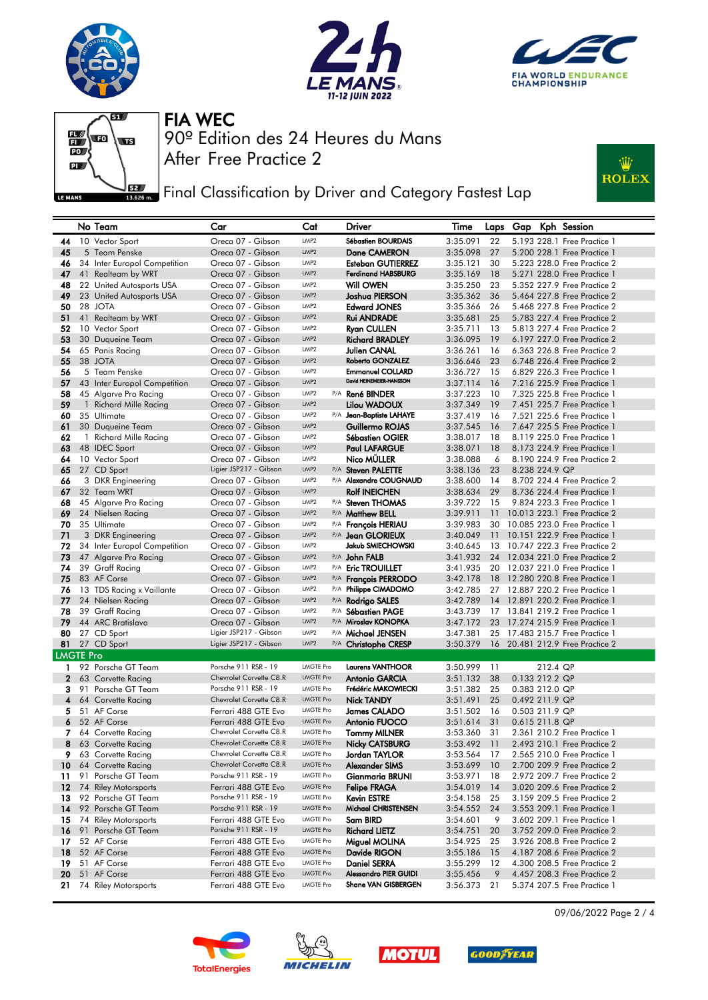







**Fig. 3** Final Classification by Driver and Category Fastest Lap



|                  |    | No Team                                  | Car                                          | Cat                                  | Driver                                              | Time                 | Laps     |                |          | Gap Kph Session                                            |
|------------------|----|------------------------------------------|----------------------------------------------|--------------------------------------|-----------------------------------------------------|----------------------|----------|----------------|----------|------------------------------------------------------------|
| 44               |    | 10 Vector Sport                          | Oreca 07 - Gibson                            | LMP <sub>2</sub>                     | Sébastien BOURDAIS                                  | 3:35.091             | 22       |                |          | 5.193 228.1 Free Practice 1                                |
| 45               |    | 5 Team Penske                            | Oreca 07 - Gibson                            | LMP2                                 | Dane CAMERON                                        | 3:35.098             | 27       |                |          | 5.200 228.1 Free Practice 1                                |
| 46               |    | 34 Inter Europol Competition             | Oreca 07 - Gibson                            | LMP <sub>2</sub>                     | Esteban GUTIERREZ                                   | 3:35.121             | 30       |                |          | 5.223 228.0 Free Practice 2                                |
| 47               |    | 41 Realteam by WRT                       | Oreca 07 - Gibson                            | LMP <sub>2</sub>                     | <b>Ferdinand HABSBURG</b>                           | 3:35.169             | 18       |                |          | 5.271 228.0 Free Practice 1                                |
| 48               |    | 22 United Autosports USA                 | Oreca 07 - Gibson                            | LMP <sub>2</sub>                     | Will OWEN                                           | 3:35.250             | 23       |                |          | 5.352 227.9 Free Practice 2                                |
| 49               |    | 23 United Autosports USA                 | Oreca 07 - Gibson                            | LMP <sub>2</sub>                     | Joshua PIERSON                                      | 3:35.362             | 36       |                |          | 5.464 227.8 Free Practice 2                                |
| 50               |    | 28 JOTA                                  | Oreca 07 - Gibson                            | LMP <sub>2</sub>                     | <b>Edward JONES</b>                                 | 3:35.366             | 26       |                |          | 5.468 227.8 Free Practice 2                                |
| 51               |    | 41 Realteam by WRT                       | Oreca 07 - Gibson                            | LMP <sub>2</sub>                     | <b>Rui ANDRADE</b>                                  | 3:35.681             | 25       |                |          | 5.783 227.4 Free Practice 2                                |
| 52               |    | 10 Vector Sport                          | Oreca 07 - Gibson                            | LMP <sub>2</sub>                     | <b>Ryan CULLEN</b>                                  | 3:35.711             | 13       |                |          | 5.813 227.4 Free Practice 2                                |
| 53               |    | 30 Duqueine Team                         | Oreca 07 - Gibson                            | LMP <sub>2</sub>                     | <b>Richard BRADLEY</b>                              | 3:36.095             | 19       |                |          | 6.197 227.0 Free Practice 2                                |
| 54               |    | 65 Panis Racing                          | Oreca 07 - Gibson                            | LMP <sub>2</sub>                     | Julien CANAL                                        | 3:36.261             | -16      |                |          | 6.363 226.8 Free Practice 2                                |
| 55               |    | 38 JOTA                                  | Oreca 07 - Gibson                            | LMP2                                 | Roberto GONZALEZ                                    | 3:36.646             | 23       |                |          | 6.748 226.4 Free Practice 2                                |
| 56               |    | 5 Team Penske                            | Oreca 07 - Gibson                            | LMP2                                 | <b>Emmanuel COLLARD</b><br>David HEINEMEIER-HANSSON | 3:36.727             | - 15     |                |          | 6.829 226.3 Free Practice 1                                |
| 57               |    | 43 Inter Europol Competition             | Oreca 07 - Gibson                            | LMP <sub>2</sub>                     |                                                     | 3:37.114             | 16       |                |          | 7.216 225.9 Free Practice 1                                |
| 58               |    | 45 Algarve Pro Racing                    | Oreca 07 - Gibson                            | LMP <sub>2</sub>                     | P/A <b>René BINDER</b>                              | 3:37.223             | 10       |                |          | 7,325 225.8 Free Practice 1                                |
| 59               |    | 1 Richard Mille Racing                   | Oreca 07 - Gibson                            | LMP <sub>2</sub><br>LMP <sub>2</sub> | Lilou WADOUX                                        | 3:37.349             | 19       |                |          | 7.451 225.7 Free Practice 1                                |
| 60               |    | 35 Ultimate                              | Oreca 07 - Gibson                            | LMP <sub>2</sub>                     | P/A Jean-Baptiste LAHAYE                            | 3:37.419             | 16       |                |          | 7.521 225.6 Free Practice 1                                |
| 61<br>62         |    | 30 Duqueine Team                         | Oreca 07 - Gibson<br>Oreca 07 - Gibson       | LMP <sub>2</sub>                     | Guillermo ROJAS<br>Sébastien OGIER                  | 3:37.545<br>3:38.017 | 16<br>18 |                |          | 7.647 225.5 Free Practice 1<br>8.119 225.0 Free Practice 1 |
| 63               |    | 1 Richard Mille Racing<br>48 IDEC Sport  | Oreca 07 - Gibson                            | LMP <sub>2</sub>                     | <b>Paul LAFARGUE</b>                                | 3:38.071             | 18       |                |          | 8.173 224.9 Free Practice 1                                |
| 64               |    | 10 Vector Sport                          | Oreca 07 - Gibson                            | LMP <sub>2</sub>                     | Nico MÜLLER                                         | 3:38.088             | 6        |                |          | 8.190 224.9 Free Practice 2                                |
| 65               |    | 27 CD Sport                              | Ligier JSP217 - Gibson                       | LMP2                                 | P/A Steven PALETTE                                  | 3:38.136             | 23       | 8.238 224.9 QP |          |                                                            |
| 66               |    | 3 DKR Engineering                        | Oreca 07 - Gibson                            | LMP <sub>2</sub>                     | P/A Alexandre COUGNAUD                              | 3:38.600             | 14       |                |          | 8.702 224.4 Free Practice 2                                |
| 67               |    | 32 Team WRT                              | Oreca 07 - Gibson                            | LMP <sub>2</sub>                     | <b>Rolf INEICHEN</b>                                | 3:38.634             | 29       |                |          | 8.736 224.4 Free Practice 1                                |
| 68               |    | 45 Algarve Pro Racing                    | Oreca 07 - Gibson                            | LMP <sub>2</sub>                     | P/A Steven THOMAS                                   | 3:39.722             | 15       |                |          | 9.824 223.3 Free Practice 1                                |
| 69               |    | 24 Nielsen Racing                        | Oreca 07 - Gibson                            | LMP <sub>2</sub>                     | P/A Matthew BELL                                    | 3:39.911             | 11       |                |          | 10.013 223.1 Free Practice 2                               |
| 70               |    | 35 Ultimate                              | Oreca 07 - Gibson                            | LMP <sub>2</sub>                     | P/A François HERIAU                                 | 3:39.983             | 30       |                |          | 10.085 223.0 Free Practice 1                               |
| 71               |    | 3 DKR Engineering                        | Oreca 07 - Gibson                            | LMP <sub>2</sub>                     | P/A Jean GLORIEUX                                   | 3:40.049             | 11       |                |          | 10.151 222.9 Free Practice 1                               |
| 72               |    | 34 Inter Europol Competition             | Oreca 07 - Gibson                            | LMP2                                 | Jakub SMIECHOWSKI                                   | 3:40.645             | 13       |                |          | 10.747 222.3 Free Practice 2                               |
| 73               |    | 47 Algarve Pro Racing                    | Oreca 07 - Gibson                            | LMP <sub>2</sub>                     | P/A John FALB                                       | 3:41.932             |          |                |          | 24 12.034 221.0 Free Practice 2                            |
| 74               |    | 39 Graff Racing                          | Oreca 07 - Gibson                            | LMP2                                 | P/A Eric TROUILLET                                  | 3:41.935             |          |                |          | 20 12.037 221.0 Free Practice 1                            |
| 75               |    | 83 AF Corse                              | Oreca 07 - Gibson                            | LMP2                                 | P/A François PERRODO                                | 3:42.178             |          |                |          | 18 12,280 220.8 Free Practice 1                            |
| 76               |    | 13 TDS Racing x Vaillante                | Oreca 07 - Gibson                            | LMP2                                 | P/A Philippe CIMADOMO                               | 3:42.785             | 27       |                |          | 12.887 220.2 Free Practice 1                               |
| 77               |    | 24 Nielsen Racing                        | Oreca 07 - Gibson                            | LMP <sub>2</sub>                     | P/A Rodrigo SALES                                   | 3:42.789             |          |                |          | 14 12.891 220.2 Free Practice 1                            |
| 78               |    | 39 Graff Racing                          | Oreca 07 - Gibson                            | LMP <sub>2</sub>                     | P/A Sébastien PAGE                                  | 3:43.739             |          |                |          | 17 13.841 219.2 Free Practice 1                            |
| 79               |    | 44 ARC Bratislava                        | Oreca 07 - Gibson                            | LMP2                                 | P/A Miroslav KONOPKA                                | 3:47.172             |          |                |          | 23 17.274 215.9 Free Practice 1                            |
| 80               |    | 27 CD Sport                              | Ligier JSP217 - Gibson                       | LMP <sub>2</sub>                     | P/A Michael JENSEN                                  | 3:47.381             | 25       |                |          | 17.483 215.7 Free Practice 1                               |
|                  |    | 81 27 CD Sport                           | Ligier JSP217 - Gibson                       | LMP <sub>2</sub>                     | P/A Christophe CRESP                                | 3:50.379             |          |                |          | 16 20.481 212.9 Free Practice 2                            |
| <b>LMGTE Pro</b> |    |                                          |                                              |                                      |                                                     |                      |          |                |          |                                                            |
| 1.               |    | 92 Porsche GT Team                       | Porsche 911 RSR - 19                         | <b>LMGTE Pro</b>                     | <b>Laurens VANTHOOR</b>                             | 3:50.999             | 11       |                | 212.4 QP |                                                            |
| $\mathbf{2}$     |    | 63 Corvette Racing                       | Chevrolet Corvette C8.R                      | <b>LMGTE Pro</b>                     | <b>Antonio GARCIA</b>                               | 3:51.132             | 38       | 0.133 212.2 QP |          |                                                            |
| з                |    | 91 Porsche GT Team                       | Porsche 911 RSR - 19                         | LMGTE Pro                            | Frédéric MAKOWIECKI                                 | 3:51.382             | 25       | 0.383 212.0 QP |          |                                                            |
| 4                |    | 64 Corvette Racing                       | Chevrolet Corvette C8.R                      | <b>LMGTE Pro</b>                     | <b>Nick TANDY</b>                                   | 3:51.491             | 25       | 0.492 211.9 QP |          |                                                            |
| 5.               |    | 51 AF Corse                              | Ferrari 488 GTE Evo                          | <b>LMGTE Pro</b>                     | James CALADO                                        | 3:51.502             | 16       | 0.503 211.9 QP |          |                                                            |
| 6                |    | 52 AF Corse                              | Ferrari 488 GTE Evo                          | <b>LMGTE Pro</b>                     | <b>Antonio FUOCO</b>                                | 3:51.614             | 31       | 0.615 211.8 QP |          |                                                            |
| 7                |    | 64 Corvette Racing                       | Chevrolet Corvette C8.R                      | <b>LMGTE Pro</b>                     | <b>Tommy MILNER</b>                                 | 3:53.360             | 31       |                |          | 2.361 210.2 Free Practice 1                                |
|                  |    | 8 63 Corvette Racing                     | Chevrolet Corvette C8.R                      | <b>LMGTE Pro</b>                     | Nicky CATSBURG                                      | $3:53.492$ 11        |          |                |          | 2.493 210.1 Free Practice 2                                |
| 9.               |    | 63 Corvette Racing                       | Chevrolet Corvette C8.R                      | LMGTE Pro                            | Jordan TAYLOR                                       | 3:53.564             | 17       |                |          | 2.565 210.0 Free Practice 1                                |
| 10 <sup>°</sup>  |    | 64 Corvette Racing                       | Chevrolet Corvette C8.R                      | <b>LMGTE Pro</b>                     | Alexander SIMS                                      | 3:53.699             | 10       |                |          | 2.700 209.9 Free Practice 2                                |
| 11               | 91 | Porsche GT Team                          | Porsche 911 RSR - 19                         | LMGTE Pro                            | Gianmaria BRUNI                                     | 3:53.971             | 18       |                |          | 2.972 209.7 Free Practice 2                                |
| $12 \,$          |    | 74 Riley Motorsports                     | Ferrari 488 GTE Evo                          | <b>LMGTE Pro</b>                     | <b>Felipe FRAGA</b>                                 | 3:54.019             | 14       |                |          | 3.020 209.6 Free Practice 2                                |
| 13               |    | 92 Porsche GT Team<br>92 Porsche GT Team | Porsche 911 RSR - 19<br>Porsche 911 RSR - 19 | LMGTE Pro<br><b>LMGTE Pro</b>        | <b>Kevin ESTRE</b>                                  | 3:54.158             | 25       |                |          | 3.159 209.5 Free Practice 2                                |
| 14               |    |                                          |                                              |                                      | Michael CHRISTENSEN                                 | 3:54.552             | 24       |                |          | 3.553 209.1 Free Practice 1                                |
| 15               |    | 74 Riley Motorsports                     | Ferrari 488 GTE Evo<br>Porsche 911 RSR - 19  | LMGTE Pro<br><b>LMGTE Pro</b>        | Sam BIRD                                            | 3:54.601             | 9        |                |          | 3.602 209.1 Free Practice 1                                |
| 16               |    | 91 Porsche GT Team                       |                                              | LMGTE Pro                            | <b>Richard LIETZ</b>                                | 3:54.751             | 20       |                |          | 3.752 209.0 Free Practice 2                                |
| 17               |    | 52 AF Corse<br>52 AF Corse               | Ferrari 488 GTE Evo                          | <b>LMGTE Pro</b>                     | Miguel MOLINA                                       | 3:54.925             | 25       |                |          | 3.926 208.8 Free Practice 2<br>4.187 208.6 Free Practice 2 |
| 18<br>19         |    | 51 AF Corse                              | Ferrari 488 GTE Evo<br>Ferrari 488 GTE Evo   | <b>LMGTE Pro</b>                     | Davide RIGON<br><b>Daniel SERRA</b>                 | 3:55.186<br>3:55.299 | 15<br>12 |                |          | 4.300 208.5 Free Practice 2                                |
| 20               |    | 51 AF Corse                              | Ferrari 488 GTE Evo                          | <b>LMGTE Pro</b>                     | Alessandro PIER GUIDI                               | 3:55.456             | 9        |                |          | 4.457 208.3 Free Practice 2                                |
| 21               |    | 74 Riley Motorsports                     | Ferrari 488 GTE Evo                          | LMGTE Pro                            | Shane VAN GISBERGEN                                 | 3:56.373             | 21       |                |          | 5.374 207.5 Free Practice 1                                |
|                  |    |                                          |                                              |                                      |                                                     |                      |          |                |          |                                                            |









09/06/2022 Page 2 / 4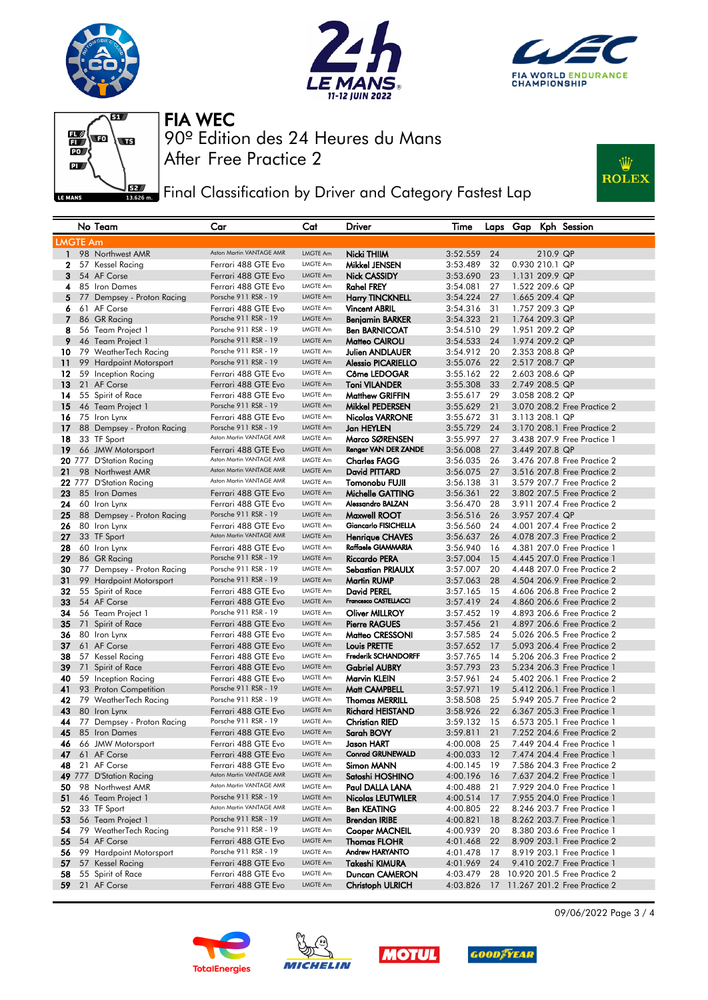







**JEZY** Final Classification by Driver and Category Fastest Lap



|                 | No Team                               | Car                                             | Cat                         | Driver                                       | Time                 |          |                |          | Laps Gap Kph Session                                       |
|-----------------|---------------------------------------|-------------------------------------------------|-----------------------------|----------------------------------------------|----------------------|----------|----------------|----------|------------------------------------------------------------|
| <b>LMGTE Am</b> |                                       |                                                 |                             |                                              |                      |          |                |          |                                                            |
| $\mathbf{1}$    | 98 Northwest AMR                      | Aston Martin VANTAGE AMR                        | LMGTE Am                    | Nicki THIIM                                  | 3:52.559             | 24       |                | 210.9 QP |                                                            |
| $\mathbf{2}$    | 57 Kessel Racing                      | Ferrari 488 GTE Evo                             | LMGTE Am                    | Mikkel JENSEN                                | 3:53.489             | 32       | 0.930 210.1 QP |          |                                                            |
| 3               | 54 AF Corse                           | Ferrari 488 GTE Evo                             | LMGTE Am                    | Nick CASSIDY                                 | 3:53.690             | 23       | 1.131 209.9 QP |          |                                                            |
| 4               | 85 Iron Dames                         | Ferrari 488 GTE Evo                             | LMGTE Am                    | <b>Rahel FREY</b>                            | 3:54.081             | 27       | 1.522 209.6 QP |          |                                                            |
| 5               | 77 Dempsey - Proton Racing            | Porsche 911 RSR - 19                            | LMGTE Am                    | <b>Harry TINCKNELL</b>                       | 3:54.224             | 27       | 1.665 209.4 QP |          |                                                            |
| 6               | 61 AF Corse                           | Ferrari 488 GTE Evo                             | LMGTE Am                    | <b>Vincent ABRIL</b>                         | 3:54.316             | 31       | 1.757 209.3 QP |          |                                                            |
| $\overline{7}$  | 86 GR Racing                          | Porsche 911 RSR - 19                            | LMGTE Am                    | <b>Benjamin BARKER</b>                       | 3:54.323             | 21       | 1.764 209.3 QP |          |                                                            |
| 8               | 56 Team Project 1                     | Porsche 911 RSR - 19                            | LMGTE Am                    | <b>Ben BARNICOAT</b>                         | 3:54.510             | 29       | 1.951 209.2 QP |          |                                                            |
| 9               | 46 Team Project 1                     | Porsche 911 RSR - 19                            | LMGTE Am                    | Matteo CAIROLI                               | 3:54.533             | 24       | 1.974 209.2 QP |          |                                                            |
| 10              | 79 WeatherTech Racing                 | Porsche 911 RSR - 19                            | LMGTE Am                    | <b>Julien ANDLAUER</b>                       | 3:54.912             | 20       | 2,353 208.8 QP |          |                                                            |
| 11              | 99 Hardpoint Motorsport               | Porsche 911 RSR - 19                            | LMGTE Am                    | <b>Alessio PICARIELLO</b>                    | 3:55.076             | 22       | 2.517 208.7 QP |          |                                                            |
| 12              | 59 Inception Racing                   | Ferrari 488 GTE Evo                             | LMGTE Am                    | Côme LEDOGAR                                 | 3:55.162             | 22       | 2.603 208.6 QP |          |                                                            |
| 13              | 21 AF Corse                           | Ferrari 488 GTE Evo                             | LMGTE Am                    | <b>Toni VILANDER</b>                         | 3:55.308             | 33       | 2.749 208.5 QP |          |                                                            |
| 14              | 55 Spirit of Race                     | Ferrari 488 GTE Evo                             | LMGTE Am                    | <b>Matthew GRIFFIN</b>                       | 3:55.617             | 29       | 3.058 208.2 QP |          |                                                            |
| 15              | 46 Team Project 1                     | Porsche 911 RSR - 19                            | LMGTE Am                    | <b>Mikkel PEDERSEN</b>                       | 3:55.629             | 21       |                |          | 3.070 208.2 Free Practice 2                                |
| 16              | 75 Iron Lynx                          | Ferrari 488 GTE Evo                             | LMGTE Am                    | <b>Nicolas VARRONE</b>                       | 3:55.672             | 31       | 3.113 208.1 QP |          |                                                            |
| 17              | 88 Dempsey - Proton Racing            | Porsche 911 RSR - 19                            | LMGTE Am                    | Jan HEYLEN                                   | 3:55.729             | 24       |                |          | 3.170 208.1 Free Practice 2                                |
| 18              | 33 TF Sport                           | Aston Martin VANTAGE AMR                        | LMGTE Am                    | Marco SØRENSEN                               | 3:55.997             | 27       |                |          | 3.438 207.9 Free Practice 1                                |
| 19              | 66 JMW Motorsport                     | Ferrari 488 GTE Evo                             | LMGTE Am                    | Renger VAN DER ZANDE                         | 3:56.008             | 27       | 3.449 207.8 QP |          |                                                            |
|                 | 20 777 D'Station Racing               | Aston Martin VANTAGE AMR                        | LMGTE Am                    | <b>Charles FAGG</b>                          | 3:56.035             | 26       |                |          | 3.476 207.8 Free Practice 2                                |
| 21              | 98 Northwest AMR                      | Aston Martin VANTAGE AMR                        | LMGTE Am                    | David PITTARD                                | 3:56.075             | 27       |                |          | 3.516 207.8 Free Practice 2                                |
|                 | 22 777 D'Station Racing               | Aston Martin VANTAGE AMR                        | LMGTE Am                    | Tomonobu FUJII                               | 3:56.138             | 31       |                |          | 3.579 207.7 Free Practice 2                                |
| 23              | 85 Iron Dames                         | Ferrari 488 GTE Evo                             | <b>LMGTE Am</b>             | Michelle GATTING                             | 3:56.361             | 22       |                |          | 3.802 207.5 Free Practice 2                                |
| 24              | 60 Iron Lynx                          | Ferrari 488 GTE Evo<br>Porsche 911 RSR - 19     | LMGTE Am                    | Alessandro BALZAN                            | 3:56.470             | 28       |                |          | 3.911 207.4 Free Practice 2                                |
| 25              | 88 Dempsey - Proton Racing            |                                                 | LMGTE Am                    | Maxwell ROOT                                 | 3:56.516             | 26       | 3.957 207.4 QP |          |                                                            |
| 26              | 80 Iron Lynx<br>33 TF Sport           | Ferrari 488 GTE Evo<br>Aston Martin VANTAGE AMR | LMGTE Am<br>LMGTE Am        | Giancarlo FISICHELLA                         | 3:56.560             | 24       |                |          | 4.001 207.4 Free Practice 2<br>4.078 207.3 Free Practice 2 |
| 27<br>28        |                                       |                                                 | LMGTE Am                    | <b>Henrique CHAVES</b><br>Raffaele GIAMMARIA | 3:56.637             | 26       |                |          |                                                            |
| 29              | 60 Iron Lynx<br>86 GR Racing          | Ferrari 488 GTE Evo<br>Porsche 911 RSR - 19     | LMGTE Am                    | <b>Riccardo PERA</b>                         | 3:56.940<br>3:57.004 | 16<br>15 |                |          | 4.381 207.0 Free Practice 1<br>4.445 207.0 Free Practice 1 |
| 30              | 77 Dempsey - Proton Racing            | Porsche 911 RSR - 19                            | LMGTE Am                    | Sebastian PRIAULX                            | 3:57.007             | 20       |                |          | 4.448 207.0 Free Practice 2                                |
| 31              | 99 Hardpoint Motorsport               | Porsche 911 RSR - 19                            | <b>LMGTE Am</b>             | <b>Martin RUMP</b>                           | 3:57.063             | 28       |                |          | 4.504 206.9 Free Practice 2                                |
| 32              | 55 Spirit of Race                     | Ferrari 488 GTE Evo                             | LMGTE Am                    | David PEREL                                  | 3:57.165             | 15       |                |          | 4,606 206.8 Free Practice 2                                |
| 33              | 54 AF Corse                           | Ferrari 488 GTE Evo                             | <b>LMGTE Am</b>             | Francesco CASTELLACCI                        | 3:57.419             | 24       |                |          | 4.860 206.6 Free Practice 2                                |
| 34              | 56 Team Project 1                     | Porsche 911 RSR - 19                            | LMGTE Am                    | <b>Oliver MILLROY</b>                        | 3:57.452             | 19       |                |          | 4.893 206.6 Free Practice 2                                |
| 35              | 71 Spirit of Race                     | Ferrari 488 GTE Evo                             | LMGTE Am                    | <b>Pierre RAGUES</b>                         | 3:57.456             | 21       |                |          | 4.897 206.6 Free Practice 2                                |
| 36              | 80 Iron Lynx                          | Ferrari 488 GTE Evo                             | LMGTE Am                    | Matteo CRESSONI                              | 3:57.585             | 24       |                |          | 5.026 206.5 Free Practice 2                                |
| 37              | 61 AF Corse                           | Ferrari 488 GTE Evo                             | LMGTE Am                    | Louis PRETTE                                 | 3:57.652             | 17       |                |          | 5.093 206.4 Free Practice 2                                |
| 38              | 57 Kessel Racing                      | Ferrari 488 GTE Evo                             | LMGTE Am                    | <b>Frederik SCHANDORFF</b>                   | 3:57.765             | 14       |                |          | 5.206 206.3 Free Practice 2                                |
| 39              | 71 Spirit of Race                     | Ferrari 488 GTE Evo                             | LMGTE Am                    | <b>Gabriel AUBRY</b>                         | 3:57.793             | 23       |                |          | 5.234 206.3 Free Practice 1                                |
| 40              | 59 Inception Racing                   | Ferrari 488 GTE Evo                             | LMGTE Am                    | Marvin KLEIN                                 | 3:57.961             | 24       |                |          | 5.402 206.1 Free Practice 2                                |
| 41              | 93 Proton Competition                 | Porsche 911 RSR - 19                            | LMGTE Am                    | Matt CAMPBELL                                | 3:57.971             | 19       |                |          | 5.412 206.1 Free Practice 1                                |
| 42              | 79 WeatherTech Racing                 | Porsche 911 RSR - 19                            | LMGTE Am                    | <b>Thomas MERRILL</b>                        | 3:58.508             | 25       |                |          | 5.949 205.7 Free Practice 2                                |
| 43              | 80 Iron Lynx                          | Ferrari 488 GTE Evo                             | <b>LMGTE Am</b>             | <b>Richard HEISTAND</b>                      | 3:58.926             | 22       |                |          | 6.367 205.3 Free Practice 1                                |
| 44              | 77 Dempsey - Proton Racing            | Porsche 911 RSR - 19                            | LMGTE Am                    | <b>Christian RIED</b>                        | 3:59.132             | 15       |                |          | 6.573 205.1 Free Practice 1                                |
| 45              | 85 Iron Dames                         | Ferrari 488 GTE Evo                             | LMGTE Am                    | Sarah BOVY                                   | 3:59.811             | 21       |                |          | 7.252 204.6 Free Practice 2                                |
| 46              | 66 JMW Motorsport                     | Ferrari 488 GTE Evo                             | LMGTE Am                    | Jason HART                                   | 4:00.008             | 25       |                |          | 7.449 204.4 Free Practice 1                                |
| 47              | 61 AF Corse                           | Ferrarı 488 GTE Evo                             | LMGTE Am                    | Conrad GRUNEWALD                             | 4:00.033             | 12       |                |          | 7.474 204.4 Free Practice 1                                |
| 48              | 21 AF Corse                           | Ferrari 488 GTE Evo                             | LMGTE Am                    | Simon MANN                                   | 4:00.145 19          |          |                |          | 7.586 204.3 Free Practice 2                                |
|                 | 49 777 D'Station Racing               | Aston Martin VANTAGE AMR                        | LMGTE Am                    | Satoshi HOSHINO                              | 4:00.196             | 16       |                |          | 7.637 204.2 Free Practice 1                                |
| 50              | 98 Northwest AMR                      | Aston Martin VANTAGE AMR                        | LMGTE Am                    | Paul DALLA LANA                              | 4:00.488             | 21       |                |          | 7.929 204.0 Free Practice 1                                |
| 51              | 46 Team Project 1                     | Porsche 911 RSR - 19                            | LMGTE Am                    | Nicolas LEUTWILER                            | 4:00.514             | 17       |                |          | 7.955 204.0 Free Practice 1                                |
| 52              | 33 TF Sport                           | Aston Martin VANTAGE AMR                        | LMGTE Am                    | <b>Ben KEATING</b>                           | 4:00.805             | 22       |                |          | 8.246 203.7 Free Practice 1                                |
| 53              | 56 Team Project 1                     | Porsche 911 RSR - 19                            | <b>LMGTE Am</b>             | <b>Brendan IRIBE</b>                         | 4:00.821             | 18       |                |          | 8.262 203.7 Free Practice 1                                |
| 54              | 79 WeatherTech Racing                 | Porsche 911 RSR - 19                            | LMGTE Am                    | Cooper MACNEIL                               | 4:00.939             | 20       |                |          | 8.380 203.6 Free Practice 1                                |
| 55              | 54 AF Corse                           | Ferrari 488 GTE Evo<br>Porsche 911 RSR - 19     | <b>LMGTE Am</b><br>LMGTE Am | <b>Thomas FLOHR</b><br>Andrew HARYANTO       | 4:01.468             | 22       |                |          | 8.909 203.1 Free Practice 2                                |
| 56              | 99 Hardpoint Motorsport               |                                                 | LMGTE Am                    |                                              | 4:01.478             | 17       |                |          | 8.919 203.1 Free Practice 1<br>9.410 202.7 Free Practice 1 |
| 57<br>58        | 57 Kessel Racing<br>55 Spirit of Race | Ferrari 488 GTE Evo<br>Ferrari 488 GTE Evo      | LMGTE Am                    | Takeshi KIMURA<br>Duncan CAMERON             | 4:01.969<br>4:03.479 | 24<br>28 |                |          | 10.920 201.5 Free Practice 2                               |
| 59              | 21 AF Corse                           | Ferrari 488 GTE Evo                             | LMGTE Am                    | <b>Christoph ULRICH</b>                      | 4:03.826             | 17       |                |          | 11.267 201.2 Free Practice 2                               |
|                 |                                       |                                                 |                             |                                              |                      |          |                |          |                                                            |









09/06/2022 Page 3 / 4